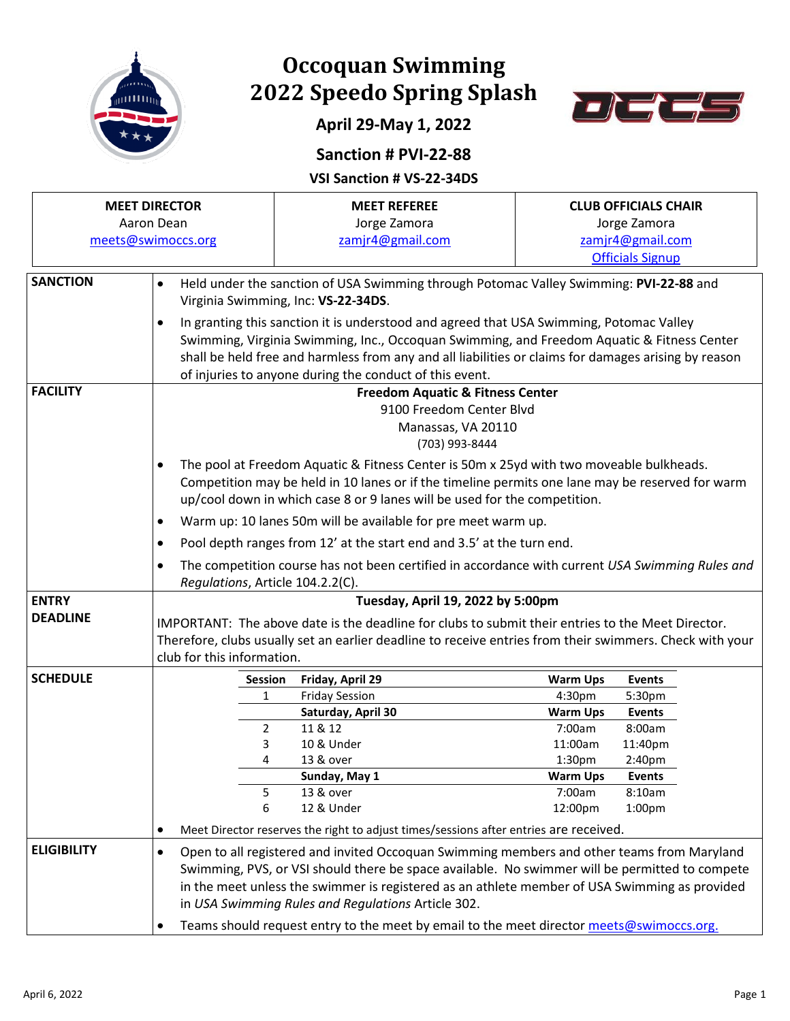

## **Occoquan Swimming 2022 Speedo Spring Splash**



## **April 29-May 1, 2022**

## **Sanction # PVI-22-88**

**VSI Sanction # VS-22-34DS**

|                    | <b>MEET DIRECTOR</b>    | <b>MEET REFEREE</b>                                                                                                                                             |                 | <b>CLUB OFFICIALS CHAIR</b> |  |  |  |  |  |  |  |  |
|--------------------|-------------------------|-----------------------------------------------------------------------------------------------------------------------------------------------------------------|-----------------|-----------------------------|--|--|--|--|--|--|--|--|
|                    | Aaron Dean              | Jorge Zamora                                                                                                                                                    |                 | Jorge Zamora                |  |  |  |  |  |  |  |  |
|                    | meets@swimoccs.org      | zamjr4@gmail.com                                                                                                                                                |                 | zamjr4@gmail.com            |  |  |  |  |  |  |  |  |
|                    |                         |                                                                                                                                                                 |                 | <b>Officials Signup</b>     |  |  |  |  |  |  |  |  |
| <b>SANCTION</b>    | $\bullet$               |                                                                                                                                                                 |                 |                             |  |  |  |  |  |  |  |  |
|                    |                         | Held under the sanction of USA Swimming through Potomac Valley Swimming: PVI-22-88 and<br>Virginia Swimming, Inc: VS-22-34DS.                                   |                 |                             |  |  |  |  |  |  |  |  |
|                    |                         | In granting this sanction it is understood and agreed that USA Swimming, Potomac Valley                                                                         |                 |                             |  |  |  |  |  |  |  |  |
|                    | $\bullet$               |                                                                                                                                                                 |                 |                             |  |  |  |  |  |  |  |  |
|                    |                         | Swimming, Virginia Swimming, Inc., Occoquan Swimming, and Freedom Aquatic & Fitness Center                                                                      |                 |                             |  |  |  |  |  |  |  |  |
|                    |                         | shall be held free and harmless from any and all liabilities or claims for damages arising by reason<br>of injuries to anyone during the conduct of this event. |                 |                             |  |  |  |  |  |  |  |  |
| <b>FACILITY</b>    |                         |                                                                                                                                                                 |                 |                             |  |  |  |  |  |  |  |  |
|                    |                         | <b>Freedom Aquatic &amp; Fitness Center</b><br>9100 Freedom Center Blvd                                                                                         |                 |                             |  |  |  |  |  |  |  |  |
|                    |                         | Manassas, VA 20110                                                                                                                                              |                 |                             |  |  |  |  |  |  |  |  |
|                    |                         | (703) 993-8444                                                                                                                                                  |                 |                             |  |  |  |  |  |  |  |  |
|                    |                         | The pool at Freedom Aquatic & Fitness Center is 50m x 25yd with two moveable bulkheads.                                                                         |                 |                             |  |  |  |  |  |  |  |  |
|                    |                         | Competition may be held in 10 lanes or if the timeline permits one lane may be reserved for warm                                                                |                 |                             |  |  |  |  |  |  |  |  |
|                    |                         | up/cool down in which case 8 or 9 lanes will be used for the competition.                                                                                       |                 |                             |  |  |  |  |  |  |  |  |
|                    | $\bullet$               | Warm up: 10 lanes 50m will be available for pre meet warm up.                                                                                                   |                 |                             |  |  |  |  |  |  |  |  |
|                    | $\bullet$               |                                                                                                                                                                 |                 |                             |  |  |  |  |  |  |  |  |
|                    | $\bullet$               | Pool depth ranges from 12' at the start end and 3.5' at the turn end.                                                                                           |                 |                             |  |  |  |  |  |  |  |  |
|                    |                         | The competition course has not been certified in accordance with current USA Swimming Rules and<br>Requlations, Article 104.2.2(C).                             |                 |                             |  |  |  |  |  |  |  |  |
| <b>ENTRY</b>       |                         | Tuesday, April 19, 2022 by 5:00pm                                                                                                                               |                 |                             |  |  |  |  |  |  |  |  |
| <b>DEADLINE</b>    |                         | IMPORTANT: The above date is the deadline for clubs to submit their entries to the Meet Director.                                                               |                 |                             |  |  |  |  |  |  |  |  |
|                    |                         | Therefore, clubs usually set an earlier deadline to receive entries from their swimmers. Check with your                                                        |                 |                             |  |  |  |  |  |  |  |  |
|                    |                         | club for this information.                                                                                                                                      |                 |                             |  |  |  |  |  |  |  |  |
| <b>SCHEDULE</b>    |                         | Friday, April 29                                                                                                                                                | <b>Warm Ups</b> |                             |  |  |  |  |  |  |  |  |
|                    | Session<br>$\mathbf{1}$ | <b>Friday Session</b>                                                                                                                                           | 4:30pm          | <b>Events</b><br>5:30pm     |  |  |  |  |  |  |  |  |
|                    |                         | Saturday, April 30                                                                                                                                              | <b>Warm Ups</b> | <b>Events</b>               |  |  |  |  |  |  |  |  |
|                    | 2                       | 11 & 12                                                                                                                                                         | 7:00am          | 8:00am                      |  |  |  |  |  |  |  |  |
|                    | 3                       | 10 & Under                                                                                                                                                      | 11:00am         | 11:40pm                     |  |  |  |  |  |  |  |  |
|                    | 4                       | 13 & over                                                                                                                                                       | 1:30pm          | 2:40pm                      |  |  |  |  |  |  |  |  |
|                    |                         | Sunday, May 1                                                                                                                                                   | <b>Warm Ups</b> | <b>Events</b>               |  |  |  |  |  |  |  |  |
|                    | 5                       | 13 & over                                                                                                                                                       | 7:00am          | 8:10am                      |  |  |  |  |  |  |  |  |
|                    | 6                       | 12 & Under                                                                                                                                                      | 12:00pm         | 1:00pm                      |  |  |  |  |  |  |  |  |
|                    |                         | Meet Director reserves the right to adjust times/sessions after entries are received.                                                                           |                 |                             |  |  |  |  |  |  |  |  |
| <b>ELIGIBILITY</b> | $\bullet$               | Open to all registered and invited Occoquan Swimming members and other teams from Maryland                                                                      |                 |                             |  |  |  |  |  |  |  |  |
|                    |                         | Swimming, PVS, or VSI should there be space available. No swimmer will be permitted to compete                                                                  |                 |                             |  |  |  |  |  |  |  |  |
|                    |                         | in the meet unless the swimmer is registered as an athlete member of USA Swimming as provided                                                                   |                 |                             |  |  |  |  |  |  |  |  |
|                    |                         | in USA Swimming Rules and Regulations Article 302.                                                                                                              |                 |                             |  |  |  |  |  |  |  |  |
|                    |                         | Teams should request entry to the meet by email to the meet director meets@swimoccs.org.                                                                        |                 |                             |  |  |  |  |  |  |  |  |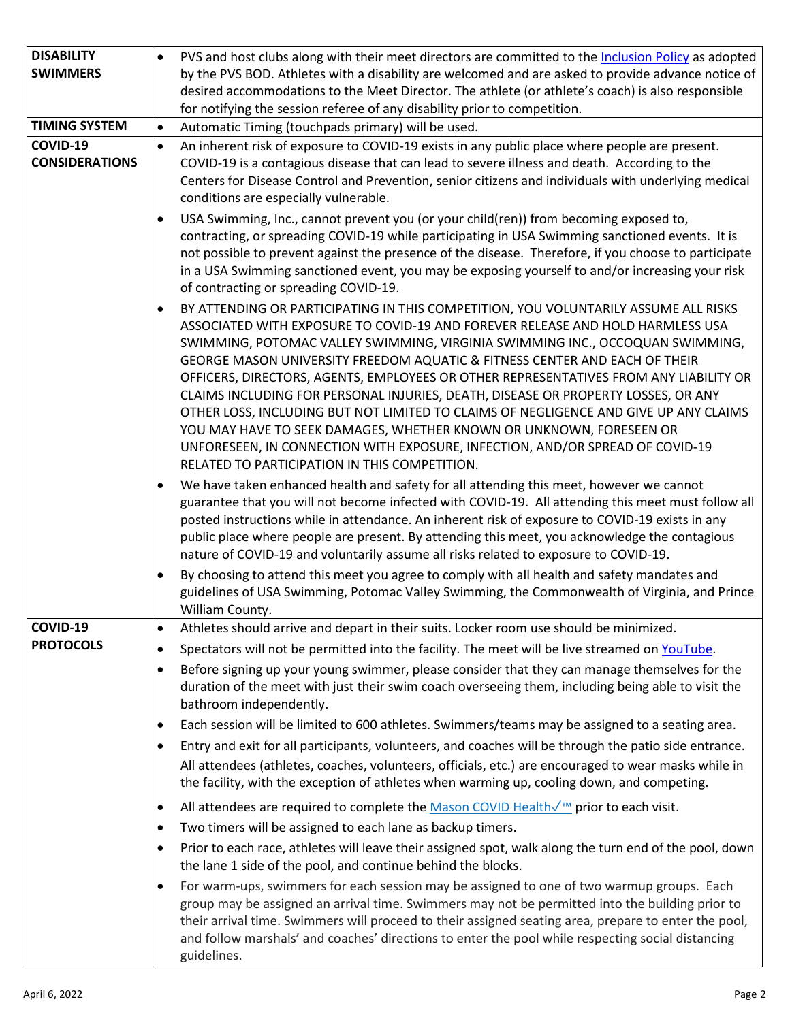| <b>DISABILITY</b>     |           | PVS and host clubs along with their meet directors are committed to the Inclusion Policy as adopted                                                                                                |  |  |  |  |  |  |  |  |
|-----------------------|-----------|----------------------------------------------------------------------------------------------------------------------------------------------------------------------------------------------------|--|--|--|--|--|--|--|--|
| <b>SWIMMERS</b>       |           | by the PVS BOD. Athletes with a disability are welcomed and are asked to provide advance notice of                                                                                                 |  |  |  |  |  |  |  |  |
|                       |           | desired accommodations to the Meet Director. The athlete (or athlete's coach) is also responsible                                                                                                  |  |  |  |  |  |  |  |  |
|                       |           | for notifying the session referee of any disability prior to competition.                                                                                                                          |  |  |  |  |  |  |  |  |
| <b>TIMING SYSTEM</b>  | $\bullet$ | Automatic Timing (touchpads primary) will be used.                                                                                                                                                 |  |  |  |  |  |  |  |  |
| COVID-19              | $\bullet$ | An inherent risk of exposure to COVID-19 exists in any public place where people are present.                                                                                                      |  |  |  |  |  |  |  |  |
| <b>CONSIDERATIONS</b> |           | COVID-19 is a contagious disease that can lead to severe illness and death. According to the                                                                                                       |  |  |  |  |  |  |  |  |
|                       |           | Centers for Disease Control and Prevention, senior citizens and individuals with underlying medical                                                                                                |  |  |  |  |  |  |  |  |
|                       |           | conditions are especially vulnerable.                                                                                                                                                              |  |  |  |  |  |  |  |  |
|                       |           | USA Swimming, Inc., cannot prevent you (or your child(ren)) from becoming exposed to,                                                                                                              |  |  |  |  |  |  |  |  |
|                       |           | contracting, or spreading COVID-19 while participating in USA Swimming sanctioned events. It is                                                                                                    |  |  |  |  |  |  |  |  |
|                       |           | not possible to prevent against the presence of the disease. Therefore, if you choose to participate                                                                                               |  |  |  |  |  |  |  |  |
|                       |           | in a USA Swimming sanctioned event, you may be exposing yourself to and/or increasing your risk                                                                                                    |  |  |  |  |  |  |  |  |
|                       |           | of contracting or spreading COVID-19.                                                                                                                                                              |  |  |  |  |  |  |  |  |
|                       |           | BY ATTENDING OR PARTICIPATING IN THIS COMPETITION, YOU VOLUNTARILY ASSUME ALL RISKS                                                                                                                |  |  |  |  |  |  |  |  |
|                       |           | ASSOCIATED WITH EXPOSURE TO COVID-19 AND FOREVER RELEASE AND HOLD HARMLESS USA                                                                                                                     |  |  |  |  |  |  |  |  |
|                       |           | SWIMMING, POTOMAC VALLEY SWIMMING, VIRGINIA SWIMMING INC., OCCOQUAN SWIMMING,                                                                                                                      |  |  |  |  |  |  |  |  |
|                       |           | GEORGE MASON UNIVERSITY FREEDOM AQUATIC & FITNESS CENTER AND EACH OF THEIR                                                                                                                         |  |  |  |  |  |  |  |  |
|                       |           | OFFICERS, DIRECTORS, AGENTS, EMPLOYEES OR OTHER REPRESENTATIVES FROM ANY LIABILITY OR                                                                                                              |  |  |  |  |  |  |  |  |
|                       |           | CLAIMS INCLUDING FOR PERSONAL INJURIES, DEATH, DISEASE OR PROPERTY LOSSES, OR ANY                                                                                                                  |  |  |  |  |  |  |  |  |
|                       |           | OTHER LOSS, INCLUDING BUT NOT LIMITED TO CLAIMS OF NEGLIGENCE AND GIVE UP ANY CLAIMS                                                                                                               |  |  |  |  |  |  |  |  |
|                       |           | YOU MAY HAVE TO SEEK DAMAGES, WHETHER KNOWN OR UNKNOWN, FORESEEN OR                                                                                                                                |  |  |  |  |  |  |  |  |
|                       |           | UNFORESEEN, IN CONNECTION WITH EXPOSURE, INFECTION, AND/OR SPREAD OF COVID-19<br>RELATED TO PARTICIPATION IN THIS COMPETITION.                                                                     |  |  |  |  |  |  |  |  |
|                       |           |                                                                                                                                                                                                    |  |  |  |  |  |  |  |  |
|                       |           | We have taken enhanced health and safety for all attending this meet, however we cannot<br>guarantee that you will not become infected with COVID-19. All attending this meet must follow all      |  |  |  |  |  |  |  |  |
|                       |           | posted instructions while in attendance. An inherent risk of exposure to COVID-19 exists in any                                                                                                    |  |  |  |  |  |  |  |  |
|                       |           | public place where people are present. By attending this meet, you acknowledge the contagious                                                                                                      |  |  |  |  |  |  |  |  |
|                       |           | nature of COVID-19 and voluntarily assume all risks related to exposure to COVID-19.                                                                                                               |  |  |  |  |  |  |  |  |
|                       |           | By choosing to attend this meet you agree to comply with all health and safety mandates and                                                                                                        |  |  |  |  |  |  |  |  |
|                       |           | guidelines of USA Swimming, Potomac Valley Swimming, the Commonwealth of Virginia, and Prince                                                                                                      |  |  |  |  |  |  |  |  |
|                       |           | William County.                                                                                                                                                                                    |  |  |  |  |  |  |  |  |
| COVID-19              | $\bullet$ | Athletes should arrive and depart in their suits. Locker room use should be minimized.                                                                                                             |  |  |  |  |  |  |  |  |
| <b>PROTOCOLS</b>      | $\bullet$ | Spectators will not be permitted into the facility. The meet will be live streamed on YouTube.                                                                                                     |  |  |  |  |  |  |  |  |
|                       | $\bullet$ | Before signing up your young swimmer, please consider that they can manage themselves for the                                                                                                      |  |  |  |  |  |  |  |  |
|                       |           | duration of the meet with just their swim coach overseeing them, including being able to visit the                                                                                                 |  |  |  |  |  |  |  |  |
|                       |           | bathroom independently.                                                                                                                                                                            |  |  |  |  |  |  |  |  |
|                       | $\bullet$ | Each session will be limited to 600 athletes. Swimmers/teams may be assigned to a seating area.                                                                                                    |  |  |  |  |  |  |  |  |
|                       | $\bullet$ | Entry and exit for all participants, volunteers, and coaches will be through the patio side entrance.                                                                                              |  |  |  |  |  |  |  |  |
|                       |           |                                                                                                                                                                                                    |  |  |  |  |  |  |  |  |
|                       |           | All attendees (athletes, coaches, volunteers, officials, etc.) are encouraged to wear masks while in<br>the facility, with the exception of athletes when warming up, cooling down, and competing. |  |  |  |  |  |  |  |  |
|                       |           |                                                                                                                                                                                                    |  |  |  |  |  |  |  |  |
|                       | ٠         | All attendees are required to complete the Mason COVID Health√ <sup>™</sup> prior to each visit.                                                                                                   |  |  |  |  |  |  |  |  |
|                       | $\bullet$ | Two timers will be assigned to each lane as backup timers.                                                                                                                                         |  |  |  |  |  |  |  |  |
|                       | $\bullet$ | Prior to each race, athletes will leave their assigned spot, walk along the turn end of the pool, down                                                                                             |  |  |  |  |  |  |  |  |
|                       |           | the lane 1 side of the pool, and continue behind the blocks.                                                                                                                                       |  |  |  |  |  |  |  |  |
|                       | $\bullet$ | For warm-ups, swimmers for each session may be assigned to one of two warmup groups. Each                                                                                                          |  |  |  |  |  |  |  |  |
|                       |           | group may be assigned an arrival time. Swimmers may not be permitted into the building prior to                                                                                                    |  |  |  |  |  |  |  |  |
|                       |           | their arrival time. Swimmers will proceed to their assigned seating area, prepare to enter the pool,                                                                                               |  |  |  |  |  |  |  |  |
|                       |           | and follow marshals' and coaches' directions to enter the pool while respecting social distancing                                                                                                  |  |  |  |  |  |  |  |  |
|                       |           | guidelines.                                                                                                                                                                                        |  |  |  |  |  |  |  |  |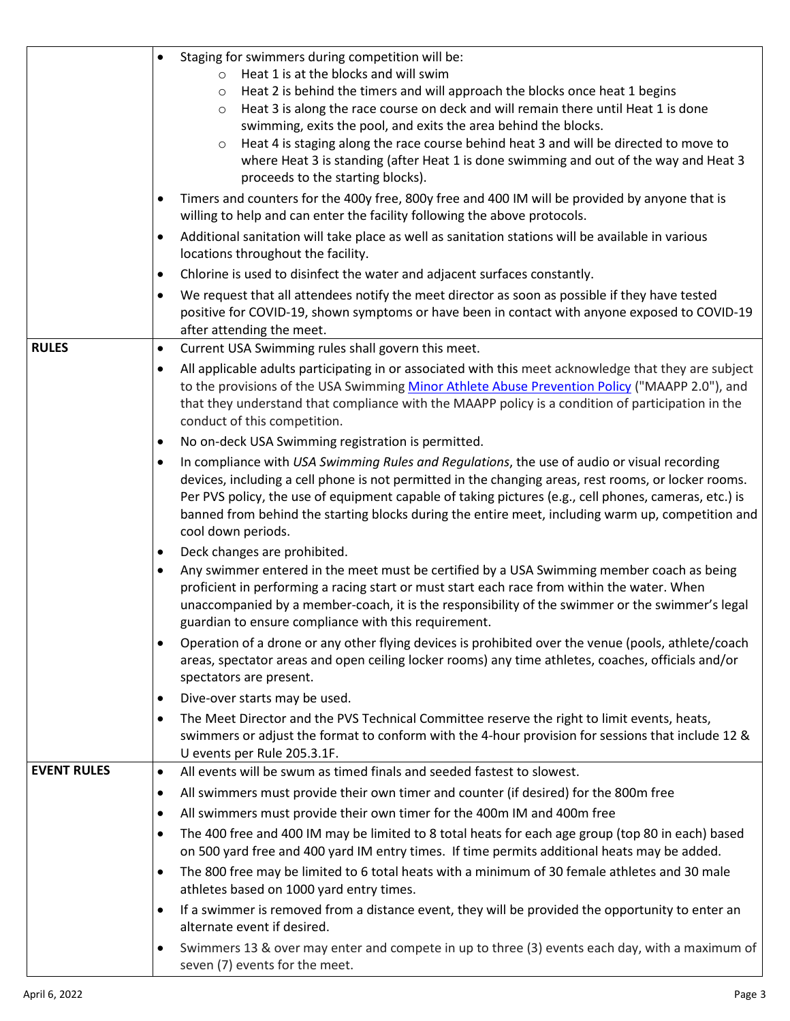|                    | Staging for swimmers during competition will be:<br>$\bullet$                                                                                                                                                          |
|--------------------|------------------------------------------------------------------------------------------------------------------------------------------------------------------------------------------------------------------------|
|                    | Heat 1 is at the blocks and will swim<br>$\circ$                                                                                                                                                                       |
|                    | Heat 2 is behind the timers and will approach the blocks once heat 1 begins<br>$\circ$                                                                                                                                 |
|                    | Heat 3 is along the race course on deck and will remain there until Heat 1 is done<br>$\circ$                                                                                                                          |
|                    | swimming, exits the pool, and exits the area behind the blocks.                                                                                                                                                        |
|                    | Heat 4 is staging along the race course behind heat 3 and will be directed to move to<br>$\circ$                                                                                                                       |
|                    | where Heat 3 is standing (after Heat 1 is done swimming and out of the way and Heat 3                                                                                                                                  |
|                    | proceeds to the starting blocks).                                                                                                                                                                                      |
|                    | Timers and counters for the 400y free, 800y free and 400 IM will be provided by anyone that is                                                                                                                         |
|                    | willing to help and can enter the facility following the above protocols.                                                                                                                                              |
|                    | Additional sanitation will take place as well as sanitation stations will be available in various                                                                                                                      |
|                    | locations throughout the facility.                                                                                                                                                                                     |
|                    | Chlorine is used to disinfect the water and adjacent surfaces constantly.<br>$\bullet$                                                                                                                                 |
|                    | We request that all attendees notify the meet director as soon as possible if they have tested<br>$\bullet$                                                                                                            |
|                    | positive for COVID-19, shown symptoms or have been in contact with anyone exposed to COVID-19                                                                                                                          |
|                    | after attending the meet.                                                                                                                                                                                              |
| <b>RULES</b>       | Current USA Swimming rules shall govern this meet.<br>$\bullet$                                                                                                                                                        |
|                    | All applicable adults participating in or associated with this meet acknowledge that they are subject<br>$\bullet$                                                                                                     |
|                    | to the provisions of the USA Swimming Minor Athlete Abuse Prevention Policy ("MAAPP 2.0"), and                                                                                                                         |
|                    | that they understand that compliance with the MAAPP policy is a condition of participation in the                                                                                                                      |
|                    | conduct of this competition.                                                                                                                                                                                           |
|                    | No on-deck USA Swimming registration is permitted.<br>$\bullet$                                                                                                                                                        |
|                    | In compliance with USA Swimming Rules and Regulations, the use of audio or visual recording<br>$\bullet$                                                                                                               |
|                    | devices, including a cell phone is not permitted in the changing areas, rest rooms, or locker rooms.                                                                                                                   |
|                    | Per PVS policy, the use of equipment capable of taking pictures (e.g., cell phones, cameras, etc.) is                                                                                                                  |
|                    | banned from behind the starting blocks during the entire meet, including warm up, competition and                                                                                                                      |
|                    | cool down periods.                                                                                                                                                                                                     |
|                    | Deck changes are prohibited.<br>$\bullet$                                                                                                                                                                              |
|                    | Any swimmer entered in the meet must be certified by a USA Swimming member coach as being<br>$\bullet$                                                                                                                 |
|                    | proficient in performing a racing start or must start each race from within the water. When<br>unaccompanied by a member-coach, it is the responsibility of the swimmer or the swimmer's legal                         |
|                    | guardian to ensure compliance with this requirement.                                                                                                                                                                   |
|                    |                                                                                                                                                                                                                        |
|                    | Operation of a drone or any other flying devices is prohibited over the venue (pools, athlete/coach<br>$\bullet$<br>areas, spectator areas and open ceiling locker rooms) any time athletes, coaches, officials and/or |
|                    | spectators are present.                                                                                                                                                                                                |
|                    | Dive-over starts may be used.<br>$\bullet$                                                                                                                                                                             |
|                    |                                                                                                                                                                                                                        |
|                    | The Meet Director and the PVS Technical Committee reserve the right to limit events, heats,<br>$\bullet$<br>swimmers or adjust the format to conform with the 4-hour provision for sessions that include 12 &          |
|                    | U events per Rule 205.3.1F.                                                                                                                                                                                            |
| <b>EVENT RULES</b> | All events will be swum as timed finals and seeded fastest to slowest.<br>$\bullet$                                                                                                                                    |
|                    | All swimmers must provide their own timer and counter (if desired) for the 800m free<br>٠                                                                                                                              |
|                    |                                                                                                                                                                                                                        |
|                    | All swimmers must provide their own timer for the 400m IM and 400m free<br>٠                                                                                                                                           |
|                    | The 400 free and 400 IM may be limited to 8 total heats for each age group (top 80 in each) based<br>$\bullet$<br>on 500 yard free and 400 yard IM entry times. If time permits additional heats may be added.         |
|                    | The 800 free may be limited to 6 total heats with a minimum of 30 female athletes and 30 male<br>$\bullet$                                                                                                             |
|                    | athletes based on 1000 yard entry times.                                                                                                                                                                               |
|                    | If a swimmer is removed from a distance event, they will be provided the opportunity to enter an<br>٠<br>alternate event if desired.                                                                                   |
|                    | Swimmers 13 & over may enter and compete in up to three (3) events each day, with a maximum of<br>٠                                                                                                                    |
|                    | seven (7) events for the meet.                                                                                                                                                                                         |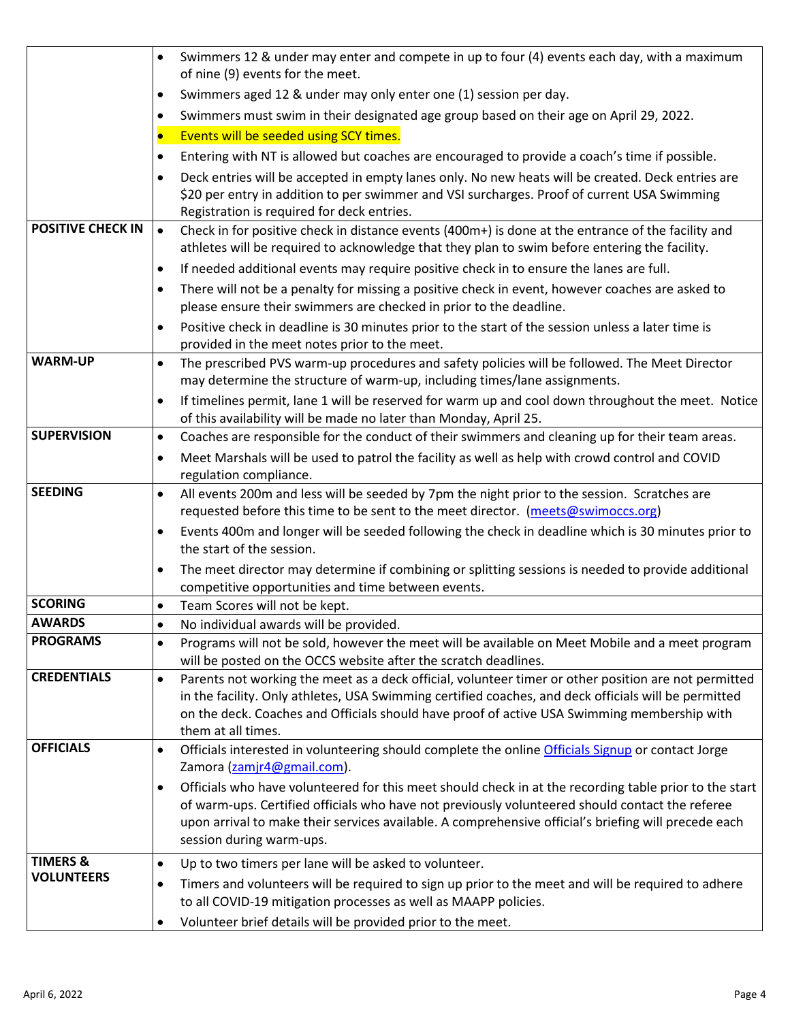|                          | Swimmers 12 & under may enter and compete in up to four (4) events each day, with a maximum<br>$\bullet$<br>of nine (9) events for the meet.                                                                                                                                                                                                   |
|--------------------------|------------------------------------------------------------------------------------------------------------------------------------------------------------------------------------------------------------------------------------------------------------------------------------------------------------------------------------------------|
|                          | Swimmers aged 12 & under may only enter one (1) session per day.<br>٠                                                                                                                                                                                                                                                                          |
|                          | Swimmers must swim in their designated age group based on their age on April 29, 2022.                                                                                                                                                                                                                                                         |
|                          | Events will be seeded using SCY times.<br>$\bullet$                                                                                                                                                                                                                                                                                            |
|                          |                                                                                                                                                                                                                                                                                                                                                |
|                          | Entering with NT is allowed but coaches are encouraged to provide a coach's time if possible.<br>$\bullet$                                                                                                                                                                                                                                     |
|                          | Deck entries will be accepted in empty lanes only. No new heats will be created. Deck entries are<br>\$20 per entry in addition to per swimmer and VSI surcharges. Proof of current USA Swimming<br>Registration is required for deck entries.                                                                                                 |
| <b>POSITIVE CHECK IN</b> | Check in for positive check in distance events (400m+) is done at the entrance of the facility and<br>$\bullet$<br>athletes will be required to acknowledge that they plan to swim before entering the facility.                                                                                                                               |
|                          | If needed additional events may require positive check in to ensure the lanes are full.<br>$\bullet$                                                                                                                                                                                                                                           |
|                          | There will not be a penalty for missing a positive check in event, however coaches are asked to<br>$\bullet$<br>please ensure their swimmers are checked in prior to the deadline.                                                                                                                                                             |
|                          | Positive check in deadline is 30 minutes prior to the start of the session unless a later time is<br>$\bullet$<br>provided in the meet notes prior to the meet.                                                                                                                                                                                |
| <b>WARM-UP</b>           | The prescribed PVS warm-up procedures and safety policies will be followed. The Meet Director<br>$\bullet$<br>may determine the structure of warm-up, including times/lane assignments.                                                                                                                                                        |
|                          | If timelines permit, lane 1 will be reserved for warm up and cool down throughout the meet. Notice<br>$\bullet$<br>of this availability will be made no later than Monday, April 25.                                                                                                                                                           |
| <b>SUPERVISION</b>       | Coaches are responsible for the conduct of their swimmers and cleaning up for their team areas.<br>$\bullet$                                                                                                                                                                                                                                   |
|                          | Meet Marshals will be used to patrol the facility as well as help with crowd control and COVID<br>regulation compliance.                                                                                                                                                                                                                       |
| <b>SEEDING</b>           | All events 200m and less will be seeded by 7pm the night prior to the session. Scratches are<br>$\bullet$<br>requested before this time to be sent to the meet director. (meets@swimoccs.org)                                                                                                                                                  |
|                          | Events 400m and longer will be seeded following the check in deadline which is 30 minutes prior to<br>$\bullet$<br>the start of the session.                                                                                                                                                                                                   |
|                          | The meet director may determine if combining or splitting sessions is needed to provide additional<br>$\bullet$<br>competitive opportunities and time between events.                                                                                                                                                                          |
| <b>SCORING</b>           | Team Scores will not be kept.                                                                                                                                                                                                                                                                                                                  |
| <b>AWARDS</b>            | No individual awards will be provided.                                                                                                                                                                                                                                                                                                         |
| <b>PROGRAMS</b>          | Programs will not be sold, however the meet will be available on Meet Mobile and a meet program<br>will be posted on the OCCS website after the scratch deadlines.                                                                                                                                                                             |
| <b>CREDENTIALS</b>       | Parents not working the meet as a deck official, volunteer timer or other position are not permitted<br>$\bullet$<br>in the facility. Only athletes, USA Swimming certified coaches, and deck officials will be permitted<br>on the deck. Coaches and Officials should have proof of active USA Swimming membership with<br>them at all times. |
| <b>OFFICIALS</b>         | Officials interested in volunteering should complete the online Officials Signup or contact Jorge<br>$\bullet$<br>Zamora (zamjr4@gmail.com).                                                                                                                                                                                                   |
|                          | Officials who have volunteered for this meet should check in at the recording table prior to the start<br>of warm-ups. Certified officials who have not previously volunteered should contact the referee<br>upon arrival to make their services available. A comprehensive official's briefing will precede each<br>session during warm-ups.  |
| <b>TIMERS &amp;</b>      | Up to two timers per lane will be asked to volunteer.<br>$\bullet$                                                                                                                                                                                                                                                                             |
| <b>VOLUNTEERS</b>        | Timers and volunteers will be required to sign up prior to the meet and will be required to adhere<br>to all COVID-19 mitigation processes as well as MAAPP policies.                                                                                                                                                                          |
|                          | Volunteer brief details will be provided prior to the meet.                                                                                                                                                                                                                                                                                    |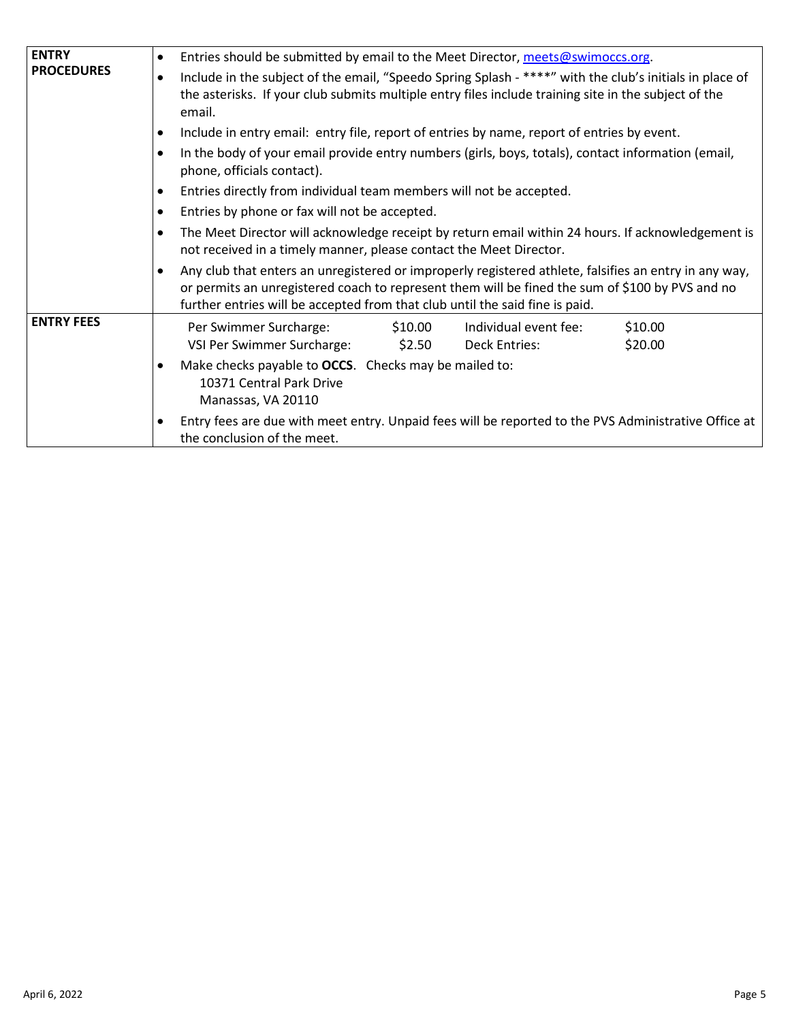| <b>ENTRY</b>      | Entries should be submitted by email to the Meet Director, meets@swimoccs.org.<br>$\bullet$                                                                                                                                                                                              |  |  |  |  |  |  |  |  |
|-------------------|------------------------------------------------------------------------------------------------------------------------------------------------------------------------------------------------------------------------------------------------------------------------------------------|--|--|--|--|--|--|--|--|
| <b>PROCEDURES</b> | Include in the subject of the email, "Speedo Spring Splash - ****" with the club's initials in place of<br>$\bullet$<br>the asterisks. If your club submits multiple entry files include training site in the subject of the<br>email.                                                   |  |  |  |  |  |  |  |  |
|                   | Include in entry email: entry file, report of entries by name, report of entries by event.<br>$\bullet$                                                                                                                                                                                  |  |  |  |  |  |  |  |  |
|                   | In the body of your email provide entry numbers (girls, boys, totals), contact information (email,<br>$\bullet$<br>phone, officials contact).                                                                                                                                            |  |  |  |  |  |  |  |  |
|                   | Entries directly from individual team members will not be accepted.<br>$\bullet$                                                                                                                                                                                                         |  |  |  |  |  |  |  |  |
|                   | Entries by phone or fax will not be accepted.<br>$\bullet$                                                                                                                                                                                                                               |  |  |  |  |  |  |  |  |
|                   | The Meet Director will acknowledge receipt by return email within 24 hours. If acknowledgement is<br>$\bullet$<br>not received in a timely manner, please contact the Meet Director.                                                                                                     |  |  |  |  |  |  |  |  |
|                   | Any club that enters an unregistered or improperly registered athlete, falsifies an entry in any way,<br>or permits an unregistered coach to represent them will be fined the sum of \$100 by PVS and no<br>further entries will be accepted from that club until the said fine is paid. |  |  |  |  |  |  |  |  |
| <b>ENTRY FEES</b> | Per Swimmer Surcharge: \$10.00<br>\$10.00<br>Individual event fee:<br>VSI Per Swimmer Surcharge: \$2.50<br>Deck Entries:<br>\$20.00                                                                                                                                                      |  |  |  |  |  |  |  |  |
|                   | Make checks payable to OCCS. Checks may be mailed to:<br>10371 Central Park Drive<br>Manassas, VA 20110                                                                                                                                                                                  |  |  |  |  |  |  |  |  |
|                   | Entry fees are due with meet entry. Unpaid fees will be reported to the PVS Administrative Office at<br>the conclusion of the meet.                                                                                                                                                      |  |  |  |  |  |  |  |  |